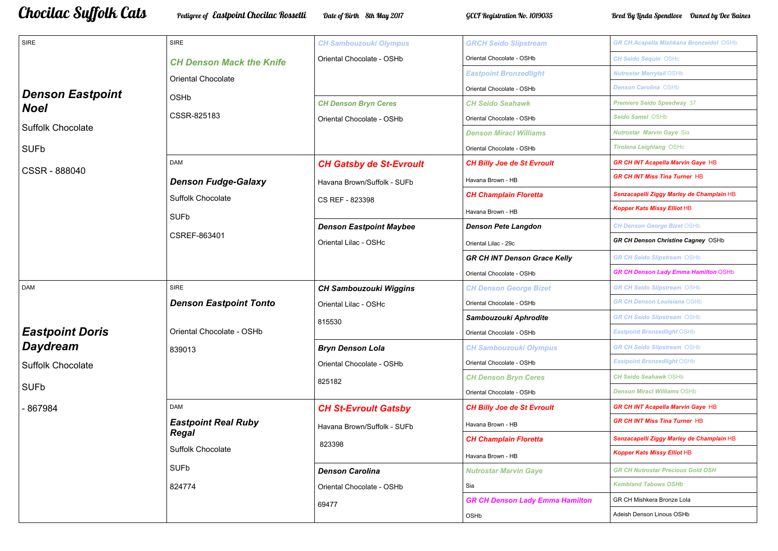## Chocilac Suffolk Cats — Pedigree of Eastpoint Chocilac Rossetti — Date of Birth 8th May 2017 — GCCF Registration No. 1019035 — Bred By Linda Spendlove Dwned by Dee Baines

| <b>SIRE</b>              | <b>SIRE</b>                     | <b>CH Sambouzouki Olympus</b>  | <b>GRCH Seido Slipstream</b>           |
|--------------------------|---------------------------------|--------------------------------|----------------------------------------|
|                          | <b>CH Denson Mack the Knife</b> | Oriental Chocolate - OSHb      | Oriental Chocolate - OSHb              |
|                          | <b>Oriental Chocolate</b>       |                                | <b>Eastpoint Bronzedlight</b>          |
| <b>Denson Eastpoint</b>  |                                 |                                | Oriental Chocolate - OSHb              |
| <b>Noel</b>              | <b>OSHb</b>                     | <b>CH Denson Bryn Ceres</b>    | <b>CH Seido Seahawk</b>                |
|                          | CSSR-825183                     | Oriental Chocolate - OSHb      | Oriental Chocolate - OSHb              |
| <b>Suffolk Chocolate</b> |                                 |                                | <b>Denson Miracl Williams</b>          |
| <b>SUFb</b>              |                                 |                                | Oriental Chocolate - OSHb              |
| <b>CSSR - 888040</b>     | <b>DAM</b>                      | <b>CH Gatsby de St-Evroult</b> | <b>CH Billy Joe de St Evroult</b>      |
|                          | <b>Denson Fudge-Galaxy</b>      | Havana Brown/Suffolk - SUFb    | Havana Brown - HB                      |
|                          | <b>Suffolk Chocolate</b>        | CS REF - 823398                | <b>CH Champlain Floretta</b>           |
|                          | <b>SUFb</b>                     |                                | Havana Brown - HB                      |
|                          |                                 | <b>Denson Eastpoint Maybee</b> | <b>Denson Pete Langdon</b>             |
|                          | <b>CSREF-863401</b>             | Oriental Lilac - OSHc          | Oriental Lilac - 29c                   |
|                          |                                 |                                | <b>GR CH INT Denson Grace Kelly</b>    |
|                          |                                 |                                | Oriental Chocolate - OSHb              |
| <b>DAM</b>               | <b>SIRE</b>                     | <b>CH Sambouzouki Wiggins</b>  | <b>CH Denson George Bizet</b>          |
|                          | <b>Denson Eastpoint Tonto</b>   | Oriental Lilac - OSHc          | Oriental Chocolate - OSHb              |
|                          |                                 | 815530                         | Sambouzouki Aphrodite                  |
| <b>Eastpoint Doris</b>   | Oriental Chocolate - OSHb       |                                | Oriental Chocolate - OSHb              |
| <b>Daydream</b>          | 839013                          | <b>Bryn Denson Lola</b>        | <b>CH Sambouzouki Olympus</b>          |
| <b>Suffolk Chocolate</b> |                                 | Oriental Chocolate - OSHb      | Oriental Chocolate - OSHb              |
|                          |                                 | 825182                         | <b>CH Denson Bryn Ceres</b>            |
| <b>SUFb</b>              |                                 |                                | Oriental Chocolate - OSHb              |
| -867984                  | <b>DAM</b>                      | <b>CH St-Evroult Gatsby</b>    | <b>CH Billy Joe de St Evroult</b>      |
|                          | <b>Eastpoint Real Ruby</b>      | Havana Brown/Suffolk - SUFb    | Havana Brown - HB                      |
|                          | <b>Regal</b>                    | 823398                         | <b>CH Champlain Floretta</b>           |
|                          | <b>Suffolk Chocolate</b>        |                                | Havana Brown - HB                      |
|                          | <b>SUFb</b>                     | <b>Denson Carolina</b>         | <b>Nutrostar Marvin Gaye</b>           |
|                          | 824774                          | Oriental Chocolate - OSHb      | Sia                                    |
|                          |                                 | 69477                          | <b>GR CH Denson Lady Emma Hamilton</b> |
|                          |                                 |                                | OSHb                                   |

|   | <b>GR CH Acapella Mishkana Bronzeidol OSHb</b> |
|---|------------------------------------------------|
|   | <b>CH Seido Sequin OSHc</b>                    |
|   | <b>Nutrostar Merrytail OSHb</b>                |
|   | <b>Denson Carolina OSHb</b>                    |
|   | <b>Premiere Seido Speedway 37</b>              |
|   | Seido Samel OSHb                               |
|   | <b>Nutrostar Marvin Gaye Sia</b>               |
|   | <b>Tirolena Leighlang OSHc</b>                 |
|   | <b>GR CH INT Acapella Marvin Gaye HB</b>       |
|   | <b>GR CH INT Miss Tina Turner HB</b>           |
|   | Senzacapelli Ziggy Marley de Champlain HB      |
|   | <b>Kopper Kats Missy Elliot HB</b>             |
|   | <b>CH Denson George Bizet OSHb</b>             |
|   | GR CH Denson Christine Cagney OSHb             |
|   | <b>GR CH Seido Slipstream OSHb</b>             |
|   | <b>GR CH Denson Lady Emma Hamilton OSHb</b>    |
|   | <b>GR CH Seido Slipstream OSHb</b>             |
|   | <b>GR CH Denson Louisiana OSHb</b>             |
|   | <b>GR CH Seido Slipstream OSHb</b>             |
|   | <b>Eastpoint Bronzedlight OSHb</b>             |
|   | <b>GR CH Seido Slipstream OSHb</b>             |
|   | <b>Eastpoint Bronzedlight OSHb</b>             |
|   | <b>CH Seido Seahawk OSHb</b>                   |
|   | <b>Denson Miracl Williams OSHb</b>             |
|   | <b>GR CH INT Acapella Marvin Gaye HB</b>       |
|   | <b>GR CH INT Miss Tina Turner HB</b>           |
|   | Senzacapelli Ziggy Marley de Champlain HB      |
|   | <b>Kopper Kats Missy Elliot HB</b>             |
|   | <b>GR CH Nutrostar Precious Gold OSH</b>       |
|   | <b>Kembland Tabows OSHb</b>                    |
| n | GR CH Mishkera Bronze Lola                     |
|   | Adeish Denson Linous OSHb                      |
|   |                                                |